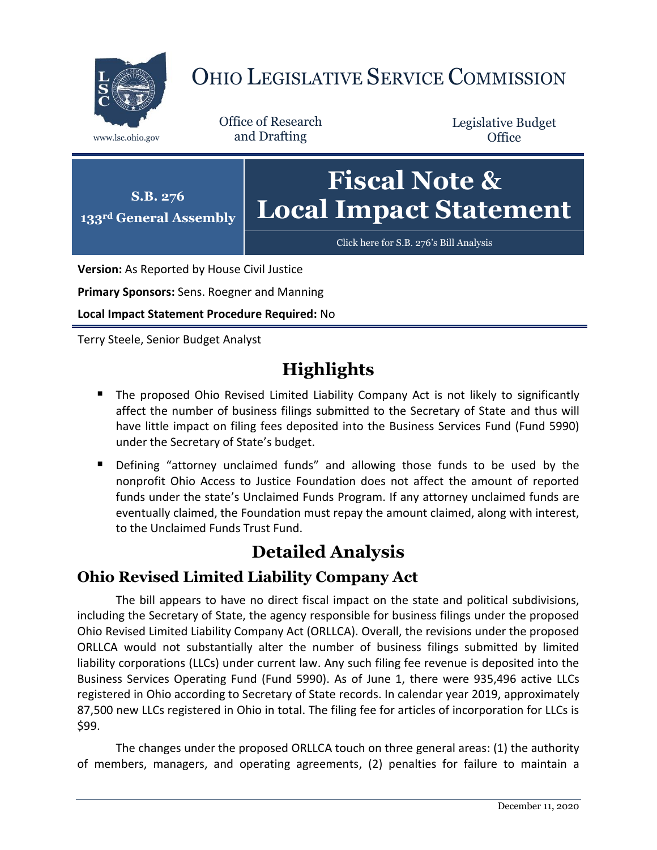

# OHIO LEGISLATIVE SERVICE COMMISSION

Office of Research www.lsc.ohio.gov and Drafting

Legislative Budget **Office** 



**Version:** As Reported by House Civil Justice

**Primary Sponsors:** Sens. Roegner and Manning

**Local Impact Statement Procedure Required:** No

Terry Steele, Senior Budget Analyst

## **Highlights**

- **The proposed Ohio Revised Limited Liability Company Act is not likely to significantly** affect the number of business filings submitted to the Secretary of State and thus will have little impact on filing fees deposited into the Business Services Fund (Fund 5990) under the Secretary of State's budget.
- Defining "attorney unclaimed funds" and allowing those funds to be used by the nonprofit Ohio Access to Justice Foundation does not affect the amount of reported funds under the state's Unclaimed Funds Program. If any attorney unclaimed funds are eventually claimed, the Foundation must repay the amount claimed, along with interest, to the Unclaimed Funds Trust Fund.

### **Detailed Analysis**

#### **Ohio Revised Limited Liability Company Act**

The bill appears to have no direct fiscal impact on the state and political subdivisions, including the Secretary of State, the agency responsible for business filings under the proposed Ohio Revised Limited Liability Company Act (ORLLCA). Overall, the revisions under the proposed ORLLCA would not substantially alter the number of business filings submitted by limited liability corporations (LLCs) under current law. Any such filing fee revenue is deposited into the Business Services Operating Fund (Fund 5990). As of June 1, there were 935,496 active LLCs registered in Ohio according to Secretary of State records. In calendar year 2019, approximately 87,500 new LLCs registered in Ohio in total. The filing fee for articles of incorporation for LLCs is \$99.

The changes under the proposed ORLLCA touch on three general areas: (1) the authority of members, managers, and operating agreements, (2) penalties for failure to maintain a